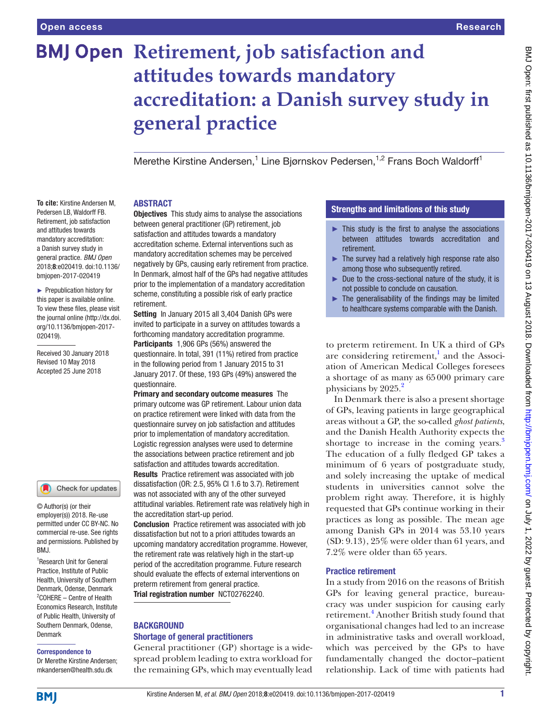# **BMJ Open Retirement, job satisfaction and attitudes towards mandatory accreditation: a Danish survey study in general practice**

Merethe Kirstine Andersen,<sup>1</sup> Line Bjørnskov Pedersen,<sup>1,2</sup> Frans Boch Waldorff<sup>1</sup>

### **ABSTRACT**

**To cite:** Kirstine Andersen M, Pedersen LB, Waldorff FB. Retirement, job satisfaction and attitudes towards mandatory accreditation: a Danish survey study in general practice. *BMJ Open* 2018;8:e020419. doi:10.1136/ bmjopen-2017-020419

► Prepublication history for this paper is available online. To view these files, please visit the journal online [\(http://dx.doi.](http://dx.doi.org/10.1136/bmjopen-2017-020419) [org/10.1136/bmjopen-2017-](http://dx.doi.org/10.1136/bmjopen-2017-020419) [020419\)](http://dx.doi.org/10.1136/bmjopen-2017-020419).

Received 30 January 2018 Revised 10 May 2018 Accepted 25 June 2018



© Author(s) (or their employer(s)) 2018. Re-use permitted under CC BY-NC. No commercial re-use. See rights and permissions. Published by BMJ.

1 Research Unit for General Practice, Institute of Public Health, University of Southern Denmark, Odense, Denmark 2 COHERE – Centre of Health Economics Research, Institute of Public Health, University of Southern Denmark, Odense, Denmark

#### Correspondence to

Dr Merethe Kirstine Andersen; mkandersen@health.sdu.dk

**Objectives** This study aims to analyse the associations between general practitioner (GP) retirement, job satisfaction and attitudes towards a mandatory accreditation scheme. External interventions such as mandatory accreditation schemes may be perceived negatively by GPs, causing early retirement from practice. In Denmark, almost half of the GPs had negative attitudes prior to the implementation of a mandatory accreditation scheme, constituting a possible risk of early practice retirement.

Setting In January 2015 all 3,404 Danish GPs were invited to participate in a survey on attitudes towards a forthcoming mandatory accreditation programme. Participants 1,906 GPs (56%) answered the questionnaire. In total, 391 (11%) retired from practice in the following period from 1 January 2015 to 31 January 2017. Of these, 193 GPs (49%) answered the

questionnaire. Primary and secondary outcome measures The primary outcome was GP retirement. Labour union data on practice retirement were linked with data from the questionnaire survey on job satisfaction and attitudes prior to implementation of mandatory accreditation. Logistic regression analyses were used to determine the associations between practice retirement and job satisfaction and attitudes towards accreditation. Results Practice retirement was associated with job

dissatisfaction (OR: 2.5, 95% CI 1.6 to 3.7). Retirement was not associated with any of the other surveyed attitudinal variables. Retirement rate was relatively high in the accreditation start-up period.

Conclusion Practice retirement was associated with job dissatisfaction but not to a priori attitudes towards an upcoming mandatory accreditation programme. However, the retirement rate was relatively high in the start-up period of the accreditation programme. Future research should evaluate the effects of external interventions on preterm retirement from general practice. Trial registration number <NCT02762240>.

## **BACKGROUND** Shortage of general practitioners

General practitioner (GP) shortage is a widespread problem leading to extra workload for the remaining GPs, which may eventually lead

## Strengths and limitations of this study

- ► This study is the first to analyse the associations between attitudes towards accreditation and retirement.
- $\blacktriangleright$  The survey had a relatively high response rate also among those who subsequently retired.
- ► Due to the cross-sectional nature of the study, it is not possible to conclude on causation.
- $\blacktriangleright$  The generalisability of the findings may be limited to healthcare systems comparable with the Danish.

to preterm retirement. In UK a third of GPs are considering retirement, $<sup>1</sup>$  and the Associ-</sup> ation of American Medical Colleges foresees a shortage of as many as 65000 primary care physicians by [2](#page-5-1)025.<sup>2</sup>

In Denmark there is also a present shortage of GPs, leaving patients in large geographical areas without a GP, the so-called *ghost patients*, and the Danish Health Authority expects the shortage to increase in the coming years.<sup>[3](#page-5-2)</sup> The education of a fully fledged GP takes a minimum of 6 years of postgraduate study, and solely increasing the uptake of medical students in universities cannot solve the problem right away. Therefore, it is highly requested that GPs continue working in their practices as long as possible. The mean age among Danish GPs in 2014 was 53.10 years (SD: 9.13), 25% were older than 61 years, and 7.2% were older than 65 years.

## Practice retirement

In a study from 2016 on the reasons of British GPs for leaving general practice, bureaucracy was under suspicion for causing early retirement.<sup>[4](#page-5-3)</sup> Another British study found that organisational changes had led to an increase in administrative tasks and overall workload, which was perceived by the GPs to have fundamentally changed the doctor–patient relationship. Lack of time with patients had

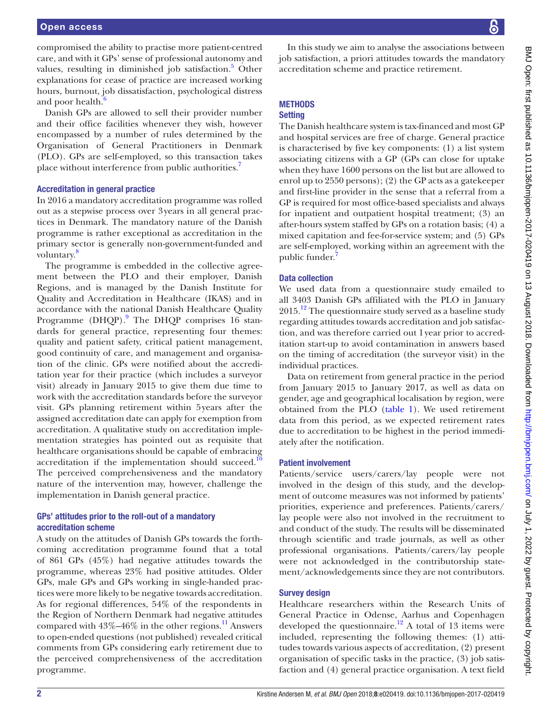compromised the ability to practise more patient-centred care, and with it GPs' sense of professional autonomy and values, resulting in diminished job satisfaction.<sup>[5](#page-5-4)</sup> Other explanations for cease of practice are increased working hours, burnout, job dissatisfaction, psychological distress and poor health.<sup>[6](#page-5-5)</sup>

Danish GPs are allowed to sell their provider number and their office facilities whenever they wish, however encompassed by a number of rules determined by the Organisation of General Practitioners in Denmark (PLO). GPs are self-employed, so this transaction takes place without interference from public authorities.<sup>[7](#page-5-6)</sup>

### Accreditation in general practice

In 2016 a mandatory accreditation programme was rolled out as a stepwise process over 3years in all general practices in Denmark. The mandatory nature of the Danish programme is rather exceptional as accreditation in the primary sector is generally non-government-funded and voluntary.<sup>8</sup>

The programme is embedded in the collective agreement between the PLO and their employer, Danish Regions, and is managed by the Danish Institute for Quality and Accreditation in Healthcare (IKAS) and in accordance with the national Danish Healthcare Quality Programme (DHQP).<sup>[9](#page-5-8)</sup> The DHQP comprises 16 standards for general practice, representing four themes: quality and patient safety, critical patient management, good continuity of care, and management and organisation of the clinic. GPs were notified about the accreditation year for their practice (which includes a surveyor visit) already in January 2015 to give them due time to work with the accreditation standards before the surveyor visit. GPs planning retirement within 5years after the assigned accreditation date can apply for exemption from accreditation. A qualitative study on accreditation implementation strategies has pointed out as requisite that healthcare organisations should be capable of embracing accreditation if the implementation should succeed.<sup>1</sup> The perceived comprehensiveness and the mandatory nature of the intervention may, however, challenge the implementation in Danish general practice.

## GPs' attitudes prior to the roll-out of a mandatory accreditation scheme

A study on the attitudes of Danish GPs towards the forthcoming accreditation programme found that a total of 861 GPs (45%) had negative attitudes towards the programme, whereas 23% had positive attitudes. Older GPs, male GPs and GPs working in single-handed practices were more likely to be negative towards accreditation. As for regional differences, 54% of the respondents in the Region of Northern Denmark had negative attitudes compared with  $43\% - 46\%$  in the other regions.<sup>11</sup> Answers to open-ended questions (not published) revealed critical comments from GPs considering early retirement due to the perceived comprehensiveness of the accreditation programme.

In this study we aim to analyse the associations between job satisfaction, a priori attitudes towards the mandatory accreditation scheme and practice retirement.

## **METHODS**

## **Setting**

The Danish healthcare system is tax-financed and most GP and hospital services are free of charge. General practice is characterised by five key components: (1) a list system associating citizens with a GP (GPs can close for uptake when they have 1600 persons on the list but are allowed to enrol up to 2550 persons); (2) the GP acts as a gatekeeper and first-line provider in the sense that a referral from a GP is required for most office-based specialists and always for inpatient and outpatient hospital treatment; (3) an after-hours system staffed by GPs on a rotation basis; (4) a mixed capitation and fee-for-service system; and (5) GPs are self-employed, working within an agreement with the public funder.

## Data collection

We used data from a questionnaire study emailed to all 3403 Danish GPs affiliated with the PLO in January 2015.<sup>12</sup> The questionnaire study served as a baseline study regarding attitudes towards accreditation and job satisfaction, and was therefore carried out 1year prior to accreditation start-up to avoid contamination in answers based on the timing of accreditation (the surveyor visit) in the individual practices.

Data on retirement from general practice in the period from January 2015 to January 2017, as well as data on gender, age and geographical localisation by region, were obtained from the PLO [\(table](#page-2-0) 1). We used retirement data from this period, as we expected retirement rates due to accreditation to be highest in the period immediately after the notification.

### Patient involvement

Patients/service users/carers/lay people were not involved in the design of this study, and the development of outcome measures was not informed by patients' priorities, experience and preferences. Patients/carers/ lay people were also not involved in the recruitment to and conduct of the study. The results will be disseminated through scientific and trade journals, as well as other professional organisations. Patients/carers/lay people were not acknowledged in the contributorship statement/acknowledgements since they are not contributors.

## Survey design

Healthcare researchers within the Research Units of General Practice in Odense, Aarhus and Copenhagen developed the questionnaire.<sup>12</sup> A total of 13 items were included, representing the following themes: (1) attitudes towards various aspects of accreditation, (2) present organisation of specific tasks in the practice, (3) job satisfaction and (4) general practice organisation. A text field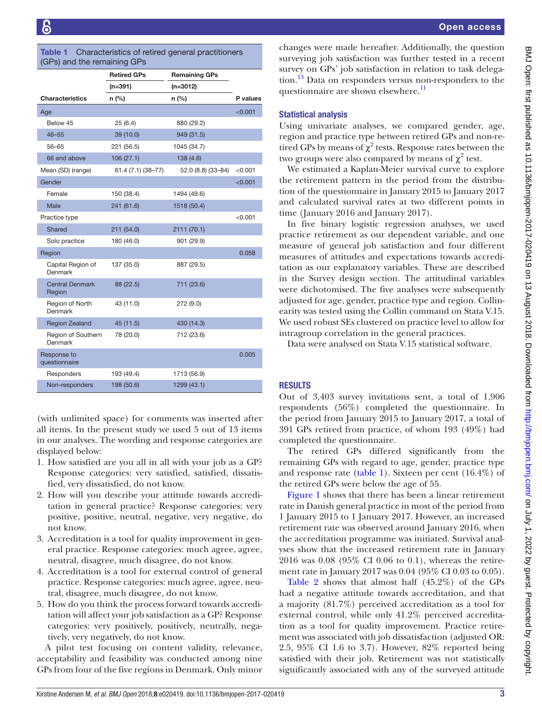<span id="page-2-0"></span>

| (GPs) and the remaining GPs      |                    |                      |          |  |  |  |  |  |
|----------------------------------|--------------------|----------------------|----------|--|--|--|--|--|
|                                  | <b>Retired GPs</b> | <b>Remaining GPs</b> |          |  |  |  |  |  |
|                                  | $(n=391)$          | $(n=3012)$           |          |  |  |  |  |  |
| <b>Characteristics</b>           | n (%)              | n (%)                | P values |  |  |  |  |  |
| Age                              |                    |                      | < 0.001  |  |  |  |  |  |
| Below 45                         | 25(6.4)            | 880 (29.2)           |          |  |  |  |  |  |
| $46 - 55$                        | 39 (10.0)          | 949 (31.5)           |          |  |  |  |  |  |
| 56-65                            | 221 (56.5)         | 1045 (34.7)          |          |  |  |  |  |  |
| 66 and above                     | 106(27.1)          | 138(4.6)             |          |  |  |  |  |  |
| Mean (SD) (range)                | $61.4(7.1)(38-77)$ | 52.0 (8.8) (33-84)   | < 0.001  |  |  |  |  |  |
| Gender                           |                    |                      | < 0.001  |  |  |  |  |  |
| Female                           | 150 (38.4)         | 1494 (49.6)          |          |  |  |  |  |  |
| Male                             | 241 (61.6)         | 1518 (50.4)          |          |  |  |  |  |  |
| Practice type                    |                    |                      | < 0.001  |  |  |  |  |  |
| Shared                           | 211 (54.0)         | 2111 (70.1)          |          |  |  |  |  |  |
| Solo practice                    | 180 (46.0)         | 901 (29.9)           |          |  |  |  |  |  |
| Region                           |                    |                      | 0.058    |  |  |  |  |  |
| Capital Region of<br>Denmark     | 137 (35.0)         | 887 (29.5)           |          |  |  |  |  |  |
| <b>Central Denmark</b><br>Region | 88 (22.5)          | 711 (23.6)           |          |  |  |  |  |  |
| Region of North<br>Denmark       | 43 (11.0)          | 272(9.0)             |          |  |  |  |  |  |
| <b>Region Zealand</b>            | 45 (11.5)          | 430 (14.3)           |          |  |  |  |  |  |
| Region of Southern<br>Denmark    | 78 (20.0)          | 712 (23.6)           |          |  |  |  |  |  |
| Response to<br>questionnaire     |                    |                      | 0.005    |  |  |  |  |  |
| Responders                       | 193 (49.4)         | 1713 (56.9)          |          |  |  |  |  |  |
| Non-responders                   | 198 (50.6)         | 1299 (43.1)          |          |  |  |  |  |  |

Characteristics of retired general practitioners

(with unlimited space) for comments was inserted after all items. In the present study we used 5 out of 13 items in our analyses. The wording and response categories are displayed below:

- 1. How satisfied are you all in all with your job as a GP? Response categories: very satisfied, satisfied, dissatisfied, very dissatisfied, do not know.
- 2. How will you describe your attitude towards accreditation in general practice? Response categories: very positive, positive, neutral, negative, very negative, do not know.
- 3. Accreditation is a tool for quality improvement in general practice. Response categories: much agree, agree, neutral, disagree, much disagree, do not know.
- 4. Accreditation is a tool for external control of general practice. Response categories: much agree, agree, neutral, disagree, much disagree, do not know.
- 5. How do you think the process forward towards accreditation will affect your job satisfaction as a GP? Response categories: very positively, positively, neutrally, negatively, very negatively, do not know.

A pilot test focusing on content validity, relevance, acceptability and feasibility was conducted among nine GPs from four of the five regions in Denmark. Only minor

changes were made hereafter. Additionally, the question surveying job satisfaction was further tested in a recent survey on GPs' job satisfaction in relation to task delegation.<sup>13</sup> Data on responders versus non-responders to the questionnaire are shown elsewhere.<sup>[11](#page-5-10)</sup>

## Statistical analysis

Using univariate analyses, we compared gender, age, region and practice type between retired GPs and non-retired GPs by means of  $\chi^2$  tests. Response rates between the two groups were also compared by means of  $\chi^2$  test.

We estimated a Kaplan-Meier survival curve to explore the retirement pattern in the period from the distribution of the questionnaire in January 2015 to January 2017 and calculated survival rates at two different points in time (January 2016 and January 2017).

In five binary logistic regression analyses, we used practice retirement as our dependent variable, and one measure of general job satisfaction and four different measures of attitudes and expectations towards accreditation as our explanatory variables. These are described in the Survey design section. The attitudinal variables were dichotomised. The five analyses were subsequently adjusted for age, gender, practice type and region. Collinearity was tested using the Collin command on Stata V.15. We used robust SEs clustered on practice level to allow for intragroup correlation in the general practices.

Data were analysed on Stata V.15 statistical software.

# **RESULTS**

Out of 3,403 survey invitations sent, a total of 1,906 respondents (56%) completed the questionnaire. In the period from January 2015 to January 2017, a total of 391 GPs retired from practice, of whom 193 (49%) had completed the questionnaire.

The retired GPs differed significantly from the remaining GPs with regard to age, gender, practice type and response rate [\(table](#page-2-0) 1). Sixteen per cent (16.4%) of the retired GPs were below the age of 55.

[Figure](#page-3-0) 1 shows that there has been a linear retirement rate in Danish general practice in most of the period from 1 January 2015 to 1 January 2017. However, an increased retirement rate was observed around January 2016, when the accreditation programme was initiated. Survival analyses show that the increased retirement rate in January 2016 was 0.08 (95% CI 0.06 to 0.1), whereas the retirement rate in January 2017 was 0.04 (95% CI 0.03 to 0.05).

[Table](#page-3-1) 2 shows that almost half (45.2%) of the GPs had a negative attitude towards accreditation, and that a majority (81.7%) perceived accreditation as a tool for external control, while only 41.2% perceived accreditation as a tool for quality improvement. Practice retirement was associated with job dissatisfaction (adjusted OR: 2.5, 95% CI 1.6 to 3.7). However, 82% reported being satisfied with their job. Retirement was not statistically significantly associated with any of the surveyed attitude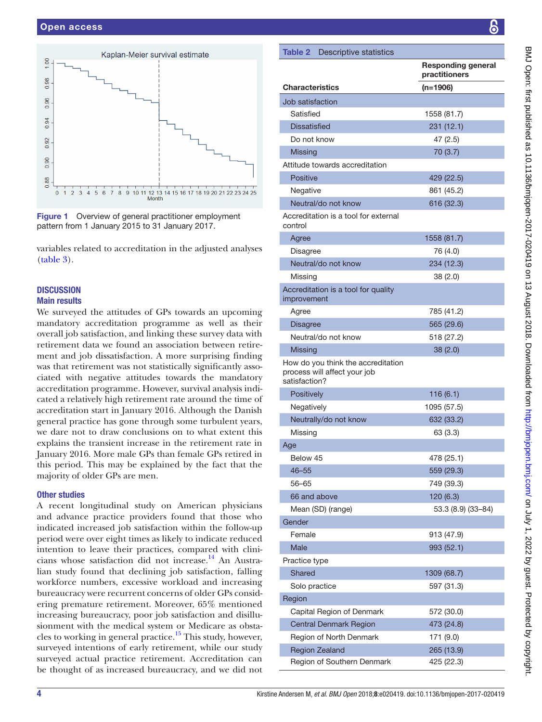

<span id="page-3-0"></span>

variables related to accreditation in the adjusted analyses ([table](#page-4-0) 3).

### **DISCUSSION** Main results

We surveyed the attitudes of GPs towards an upcoming mandatory accreditation programme as well as their overall job satisfaction, and linking these survey data with retirement data we found an association between retirement and job dissatisfaction. A more surprising finding was that retirement was not statistically significantly associated with negative attitudes towards the mandatory accreditation programme. However, survival analysis indicated a relatively high retirement rate around the time of accreditation start in January 2016. Although the Danish general practice has gone through some turbulent years, we dare not to draw conclusions on to what extent this explains the transient increase in the retirement rate in January 2016. More male GPs than female GPs retired in this period. This may be explained by the fact that the majority of older GPs are men.

## Other studies

A recent longitudinal study on American physicians and advance practice providers found that those who indicated increased job satisfaction within the follow-up period were over eight times as likely to indicate reduced intention to leave their practices, compared with clinicians whose satisfaction did not increase.<sup>14</sup> An Australian study found that declining job satisfaction, falling workforce numbers, excessive workload and increasing bureaucracy were recurrent concerns of older GPs considering premature retirement. Moreover, 65% mentioned increasing bureaucracy, poor job satisfaction and disillusionment with the medical system or Medicare as obsta-cles to working in general practice.<sup>[15](#page-5-14)</sup> This study, however, surveyed intentions of early retirement, while our study surveyed actual practice retirement. Accreditation can be thought of as increased bureaucracy, and we did not

<span id="page-3-1"></span>

| Table 2 Descriptive statistics                                                      |                                            |  |  |
|-------------------------------------------------------------------------------------|--------------------------------------------|--|--|
|                                                                                     | <b>Responding general</b><br>practitioners |  |  |
| <b>Characteristics</b>                                                              | $(n=1906)$                                 |  |  |
| Job satisfaction                                                                    |                                            |  |  |
| Satisfied                                                                           | 1558 (81.7)                                |  |  |
| <b>Dissatisfied</b>                                                                 | 231 (12.1)                                 |  |  |
| Do not know                                                                         | 47 (2.5)                                   |  |  |
| Missing                                                                             | 70 (3.7)                                   |  |  |
| Attitude towards accreditation                                                      |                                            |  |  |
| Positive                                                                            | 429 (22.5)                                 |  |  |
| Negative                                                                            | 861 (45.2)                                 |  |  |
| Neutral/do not know                                                                 | 616 (32.3)                                 |  |  |
| Accreditation is a tool for external<br>control                                     |                                            |  |  |
| Agree                                                                               | 1558 (81.7)                                |  |  |
| Disagree                                                                            | 76 (4.0)                                   |  |  |
| Neutral/do not know                                                                 | 234 (12.3)                                 |  |  |
| Missing                                                                             | 38 (2.0)                                   |  |  |
| Accreditation is a tool for quality<br>improvement                                  |                                            |  |  |
| Agree                                                                               | 785 (41.2)                                 |  |  |
| <b>Disagree</b>                                                                     | 565 (29.6)                                 |  |  |
| Neutral/do not know                                                                 | 518 (27.2)                                 |  |  |
| <b>Missing</b>                                                                      | 38(2.0)                                    |  |  |
| How do you think the accreditation<br>process will affect your job<br>satisfaction? |                                            |  |  |
| Positively                                                                          | 116(6.1)                                   |  |  |
| Negatively                                                                          | 1095 (57.5)                                |  |  |
| Neutrally/do not know                                                               | 632 (33.2)                                 |  |  |
| Missing                                                                             | 63 (3.3)                                   |  |  |
| Age                                                                                 |                                            |  |  |
| Below 45                                                                            | 478 (25.1)                                 |  |  |
| $46 - 55$                                                                           | 559 (29.3)                                 |  |  |
| 56–65                                                                               | 749 (39.3)                                 |  |  |
| 66 and above                                                                        | 120 (6.3)                                  |  |  |
| Mean (SD) (range)                                                                   | 53.3 (8.9) (33-84)                         |  |  |
| Gender                                                                              |                                            |  |  |
| Female                                                                              | 913 (47.9)                                 |  |  |
| Male                                                                                | 993 (52.1)                                 |  |  |
| Practice type                                                                       |                                            |  |  |
| Shared                                                                              | 1309 (68.7)                                |  |  |
| Solo practice                                                                       | 597 (31.3)                                 |  |  |
| Region                                                                              |                                            |  |  |
| Capital Region of Denmark                                                           | 572 (30.0)                                 |  |  |
| <b>Central Denmark Region</b>                                                       | 473 (24.8)                                 |  |  |
| Region of North Denmark                                                             | 171 (9.0)                                  |  |  |
| <b>Region Zealand</b>                                                               | 265 (13.9)                                 |  |  |
| Region of Southern Denmark                                                          | 425 (22.3)                                 |  |  |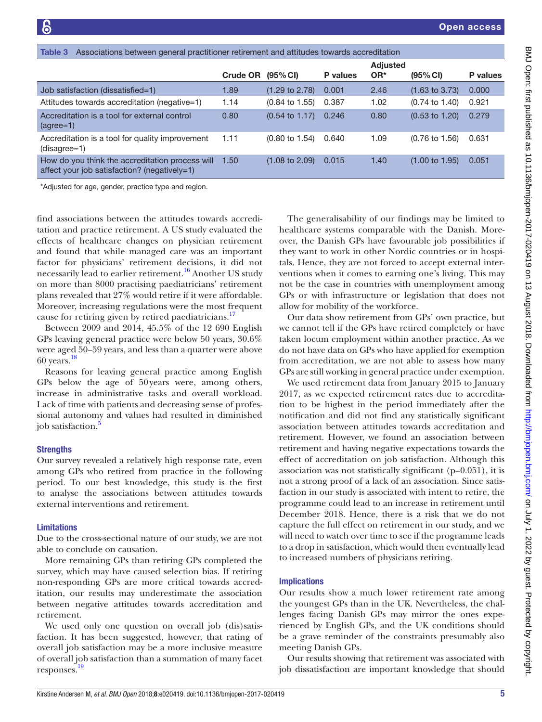<span id="page-4-0"></span>

| Associations between general practitioner retirement and attitudes towards accreditation<br>Table 3 |                 |                           |          |                        |                           |          |  |  |  |  |
|-----------------------------------------------------------------------------------------------------|-----------------|---------------------------|----------|------------------------|---------------------------|----------|--|--|--|--|
|                                                                                                     | <b>Crude OR</b> | (95% CI)                  | P values | <b>Adjusted</b><br>OR* | (95% CI)                  | P values |  |  |  |  |
| Job satisfaction (dissatisfied=1)                                                                   | 1.89            | $(1.29 \text{ to } 2.78)$ | 0.001    | 2.46                   | $(1.63 \text{ to } 3.73)$ | 0.000    |  |  |  |  |
| Attitudes towards accreditation (negative=1)                                                        | 1.14            | $(0.84 \text{ to } 1.55)$ | 0.387    | 1.02                   | $(0.74 \text{ to } 1.40)$ | 0.921    |  |  |  |  |
| Accreditation is a tool for external control<br>$(agree=1)$                                         | 0.80            | $(0.54 \text{ to } 1.17)$ | 0.246    | 0.80                   | $(0.53 \text{ to } 1.20)$ | 0.279    |  |  |  |  |
| Accreditation is a tool for quality improvement<br>$(disagree=1)$                                   | 1.11            | $(0.80 \text{ to } 1.54)$ | 0.640    | 1.09                   | $(0.76 \text{ to } 1.56)$ | 0.631    |  |  |  |  |
| How do you think the accreditation process will<br>affect your job satisfaction? (negatively=1)     | 1.50            | $(1.08 \text{ to } 2.09)$ | 0.015    | 1.40                   | $(1.00 \text{ to } 1.95)$ | 0.051    |  |  |  |  |

\*Adjusted for age, gender, practice type and region.

find associations between the attitudes towards accreditation and practice retirement. A US study evaluated the effects of healthcare changes on physician retirement and found that while managed care was an important factor for physicians' retirement decisions, it did not necessarily lead to earlier retirement.<sup>16</sup> Another US study on more than 8000 practising paediatricians' retirement plans revealed that 27% would retire if it were affordable. Moreover, increasing regulations were the most frequent cause for retiring given by retired paediatricians.<sup>[17](#page-5-16)</sup>

Between 2009 and 2014, 45.5% of the 12 690 English GPs leaving general practice were below 50 years, 30.6% were aged 50–59 years, and less than a quarter were above 60 years.[18](#page-5-17)

Reasons for leaving general practice among English GPs below the age of 50years were, among others, increase in administrative tasks and overall workload. Lack of time with patients and decreasing sense of professional autonomy and values had resulted in diminished job satisfaction.<sup>[5](#page-5-4)</sup>

### **Strengths**

Our survey revealed a relatively high response rate, even among GPs who retired from practice in the following period. To our best knowledge, this study is the first to analyse the associations between attitudes towards external interventions and retirement.

#### Limitations

Due to the cross-sectional nature of our study, we are not able to conclude on causation.

More remaining GPs than retiring GPs completed the survey, which may have caused selection bias. If retiring non-responding GPs are more critical towards accreditation, our results may underestimate the association between negative attitudes towards accreditation and retirement.

We used only one question on overall job (dis)satisfaction. It has been suggested, however, that rating of overall job satisfaction may be a more inclusive measure of overall job satisfaction than a summation of many facet responses. [19](#page-5-18)

The generalisability of our findings may be limited to healthcare systems comparable with the Danish. Moreover, the Danish GPs have favourable job possibilities if they want to work in other Nordic countries or in hospitals. Hence, they are not forced to accept external interventions when it comes to earning one's living. This may not be the case in countries with unemployment among GPs or with infrastructure or legislation that does not allow for mobility of the workforce.

Our data show retirement from GPs' own practice, but we cannot tell if the GPs have retired completely or have taken locum employment within another practice. As we do not have data on GPs who have applied for exemption from accreditation, we are not able to assess how many GPs are still working in general practice under exemption.

We used retirement data from January 2015 to January 2017, as we expected retirement rates due to accreditation to be highest in the period immediately after the notification and did not find any statistically significant association between attitudes towards accreditation and retirement. However, we found an association between retirement and having negative expectations towards the effect of accreditation on job satisfaction. Although this association was not statistically significant (p=0.051), it is not a strong proof of a lack of an association. Since satisfaction in our study is associated with intent to retire, the programme could lead to an increase in retirement until December 2018. Hence, there is a risk that we do not capture the full effect on retirement in our study, and we will need to watch over time to see if the programme leads to a drop in satisfaction, which would then eventually lead to increased numbers of physicians retiring.

## Implications

Our results show a much lower retirement rate among the youngest GPs than in the UK. Nevertheless, the challenges facing Danish GPs may mirror the ones experienced by English GPs, and the UK conditions should be a grave reminder of the constraints presumably also meeting Danish GPs.

Our results showing that retirement was associated with job dissatisfaction are important knowledge that should